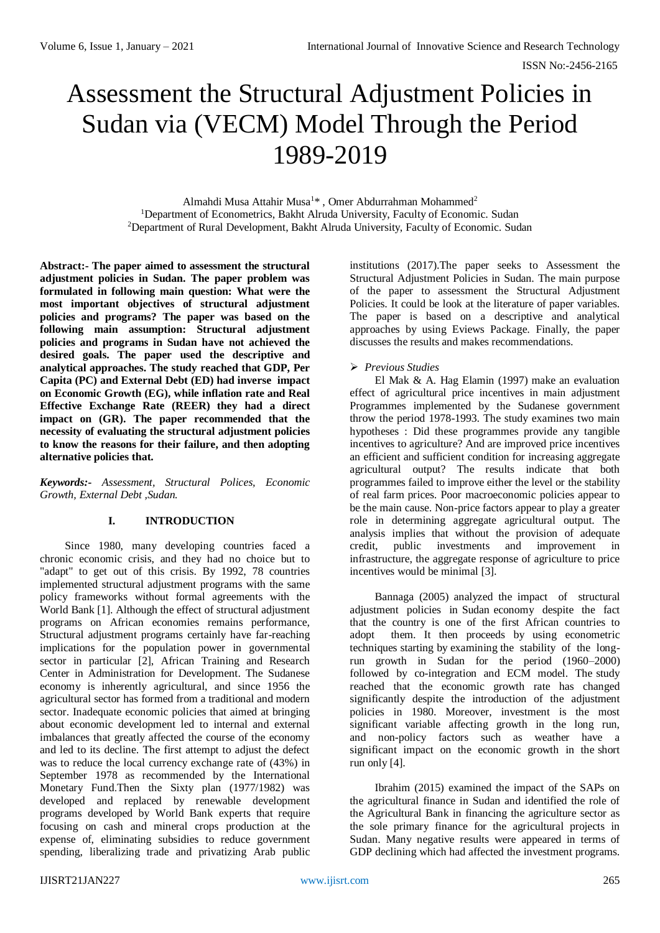# Assessment the Structural Adjustment Policies in Sudan via (VECM) Model Through the Period 1989-2019

Almahdi Musa Attahir Musa<sup>1\*</sup>, Omer Abdurrahman Mohammed<sup>2</sup> <sup>1</sup>Department of Econometrics, Bakht Alruda University, Faculty of Economic. Sudan <sup>2</sup>Department of Rural Development, Bakht Alruda University, Faculty of Economic. Sudan

**Abstract:- The paper aimed to assessment the structural adjustment policies in Sudan. The paper problem was formulated in following main question: What were the most important objectives of structural adjustment policies and programs? The paper was based on the following main assumption: Structural adjustment policies and programs in Sudan have not achieved the desired goals. The paper used the descriptive and analytical approaches. The study reached that GDP, Per Capita (PC) and External Debt (ED) had inverse impact on Economic Growth (EG), while inflation rate and Real Effective Exchange Rate (REER) they had a direct impact on (GR). The paper recommended that the necessity of evaluating the structural adjustment policies to know the reasons for their failure, and then adopting alternative policies that.**

*Keywords:- Assessment, Structural Polices, Economic Growth, External Debt ,Sudan.*

#### **I. INTRODUCTION**

Since 1980, many developing countries faced a chronic economic crisis, and they had no choice but to "adapt" to get out of this crisis. By 1992, 78 countries implemented structural adjustment programs with the same policy frameworks without formal agreements with the World Bank [1]. Although the effect of structural adjustment programs on African economies remains performance, Structural adjustment programs certainly have far-reaching implications for the population power in governmental sector in particular [2], African Training and Research Center in Administration for Development. The Sudanese economy is inherently agricultural, and since 1956 the agricultural sector has formed from a traditional and modern sector. Inadequate economic policies that aimed at bringing about economic development led to internal and external imbalances that greatly affected the course of the economy and led to its decline. The first attempt to adjust the defect was to reduce the local currency exchange rate of (43%) in September 1978 as recommended by the International Monetary Fund.Then the Sixty plan (1977/1982) was developed and replaced by renewable development programs developed by World Bank experts that require focusing on cash and mineral crops production at the expense of, eliminating subsidies to reduce government spending, liberalizing trade and privatizing Arab public

institutions (2017).The paper seeks to Assessment the Structural Adjustment Policies in Sudan. The main purpose of the paper to assessment the Structural Adjustment Policies. It could be look at the literature of paper variables. The paper is based on a descriptive and analytical approaches by using Eviews Package. Finally, the paper discusses the results and makes recommendations.

#### *Previous Studies*

El Mak & A. Hag Elamin (1997) make an evaluation effect of agricultural price incentives in main adjustment Programmes implemented by the Sudanese government throw the period 1978-1993. The study examines two main hypotheses : Did these programmes provide any tangible incentives to agriculture? And are improved price incentives an efficient and sufficient condition for increasing aggregate agricultural output? The results indicate that both programmes failed to improve either the level or the stability of real farm prices. Poor macroeconomic policies appear to be the main cause. Non-price factors appear to play a greater role in determining aggregate agricultural output. The analysis implies that without the provision of adequate credit, public investments and improvement in infrastructure, the aggregate response of agriculture to price incentives would be minimal [3].

Bannaga (2005) analyzed the impact of structural adjustment policies in Sudan economy despite the fact that the country is one of the first African countries to adopt them. It then proceeds by using econometric techniques starting by examining the stability of the longrun growth in Sudan for the period (1960–2000) followed by co-integration and ECM model. The study reached that the economic growth rate has changed significantly despite the introduction of the adjustment policies in 1980. Moreover, investment is the most significant variable affecting growth in the long run, and non-policy factors such as weather have a significant impact on the economic growth in the short run only [4].

Ibrahim (2015) examined the impact of the SAPs on the agricultural finance in Sudan and identified the role of the Agricultural Bank in financing the agriculture sector as the sole primary finance for the agricultural projects in Sudan. Many negative results were appeared in terms of GDP declining which had affected the investment programs.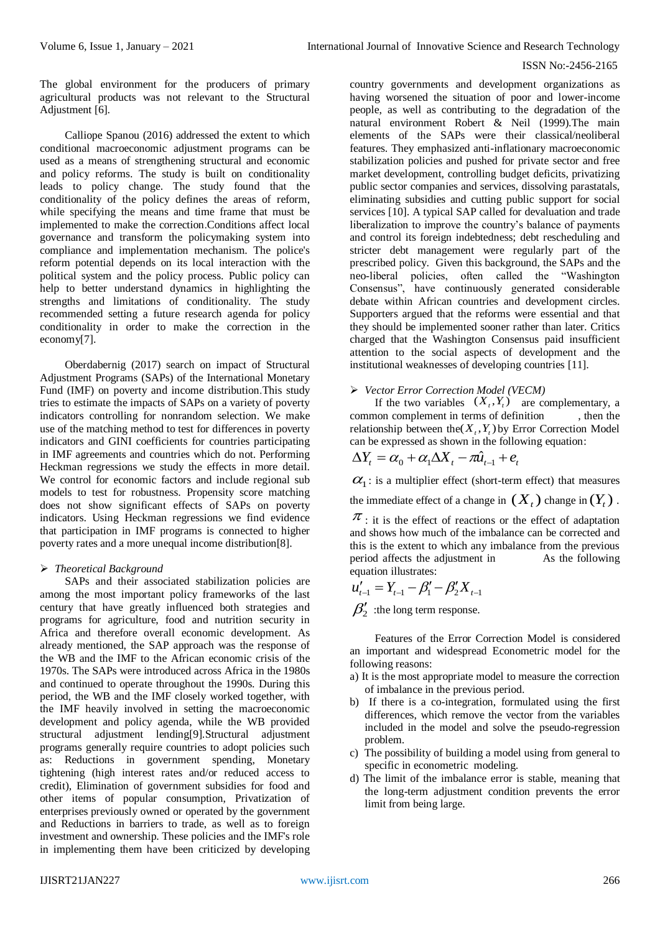The global environment for the producers of primary agricultural products was not relevant to the Structural Adjustment [6].

Calliope Spanou (2016) addressed the extent to which conditional macroeconomic adjustment programs can be used as a means of strengthening structural and economic and policy reforms. The study is built on conditionality leads to policy change. The study found that the conditionality of the policy defines the areas of reform, while specifying the means and time frame that must be implemented to make the correction.Conditions affect local governance and transform the policymaking system into compliance and implementation mechanism. The police's reform potential depends on its local interaction with the political system and the policy process. Public policy can help to better understand dynamics in highlighting the strengths and limitations of conditionality. The study recommended setting a future research agenda for policy conditionality in order to make the correction in the economy[7].

Oberdabernig (2017) search on impact of Structural Adjustment Programs (SAPs) of the International Monetary Fund (IMF) on poverty and income distribution.This study tries to estimate the impacts of SAPs on a variety of poverty indicators controlling for nonrandom selection. We make use of the matching method to test for differences in poverty indicators and GINI coefficients for countries participating in IMF agreements and countries which do not. Performing Heckman regressions we study the effects in more detail. We control for economic factors and include regional submodels to test for robustness. Propensity score matching does not show significant effects of SAPs on poverty indicators. Using Heckman regressions we find evidence that participation in IMF programs is connected to higher poverty rates and a more unequal income distribution[8].

#### *Theoretical Background*

SAPs and their associated stabilization policies are among the most important policy frameworks of the last century that have greatly influenced both strategies and programs for agriculture, food and nutrition security in Africa and therefore overall economic development. As already mentioned, the SAP approach was the response of the WB and the IMF to the African economic crisis of the 1970s. The SAPs were introduced across Africa in the 1980s and continued to operate throughout the 1990s. During this period, the WB and the IMF closely worked together, with the IMF heavily involved in setting the macroeconomic development and policy agenda, while the WB provided structural adjustment lending[9].Structural adjustment programs generally require countries to adopt policies such as: Reductions in government spending, Monetary tightening (high interest rates and/or reduced access to credit), Elimination of government subsidies for food and other items of popular consumption, Privatization of enterprises previously owned or operated by the government and Reductions in barriers to trade, as well as to foreign investment and ownership. These policies and the IMF's role in implementing them have been criticized by developing

country governments and development organizations as having worsened the situation of poor and lower-income people, as well as contributing to the degradation of the natural environment Robert & Neil (1999).The main elements of the SAPs were their classical/neoliberal features. They emphasized anti-inflationary macroeconomic stabilization policies and pushed for private sector and free market development, controlling budget deficits, privatizing public sector companies and services, dissolving parastatals, eliminating subsidies and cutting public support for social services [10]. A typical SAP called for devaluation and trade liberalization to improve the country's balance of payments and control its foreign indebtedness; debt rescheduling and stricter debt management were regularly part of the prescribed policy. Given this background, the SAPs and the neo-liberal policies, often called the "Washington Consensus", have continuously generated considerable debate within African countries and development circles. Supporters argued that the reforms were essential and that they should be implemented sooner rather than later. Critics charged that the Washington Consensus paid insufficient attention to the social aspects of development and the institutional weaknesses of developing countries [11].

#### *Vector Error Correction Model (VECM)*

If the two variables  $(X_t, Y_t)$  are complementary, a common complement in terms of definition , then the relationship between the  $(X_t, Y_t)$  by Error Correction Model can be expressed as shown in the following equation:

$$
\Delta Y_t = \alpha_0 + \alpha_1 \Delta X_t - \pi \hat{u}_{t-1} + e_t
$$

 $\alpha_1$ : is a multiplier effect (short-term effect) that measures

the immediate effect of a change in  $(X_t)$  change in  $(Y_t)$ .  $\pi$ : it is the effect of reactions or the effect of adaptation

and shows how much of the imbalance can be corrected and this is the extent to which any imbalance from the previous period affects the adjustment in As the following equation illustrates:

$$
u'_{t-1} = Y_{t-1} - \beta'_1 - \beta'_2 X_{t-1}
$$
  

$$
\beta'_2
$$
: the long term response.

Features of the Error Correction Model is considered an important and widespread Econometric model for the following reasons:

- a) It is the most appropriate model to measure the correction of imbalance in the previous period.
- b) If there is a co-integration, formulated using the first differences, which remove the vector from the variables included in the model and solve the pseudo-regression problem.
- c) The possibility of building a model using from general to specific in econometric modeling.
- d) The limit of the imbalance error is stable, meaning that the long-term adjustment condition prevents the error limit from being large.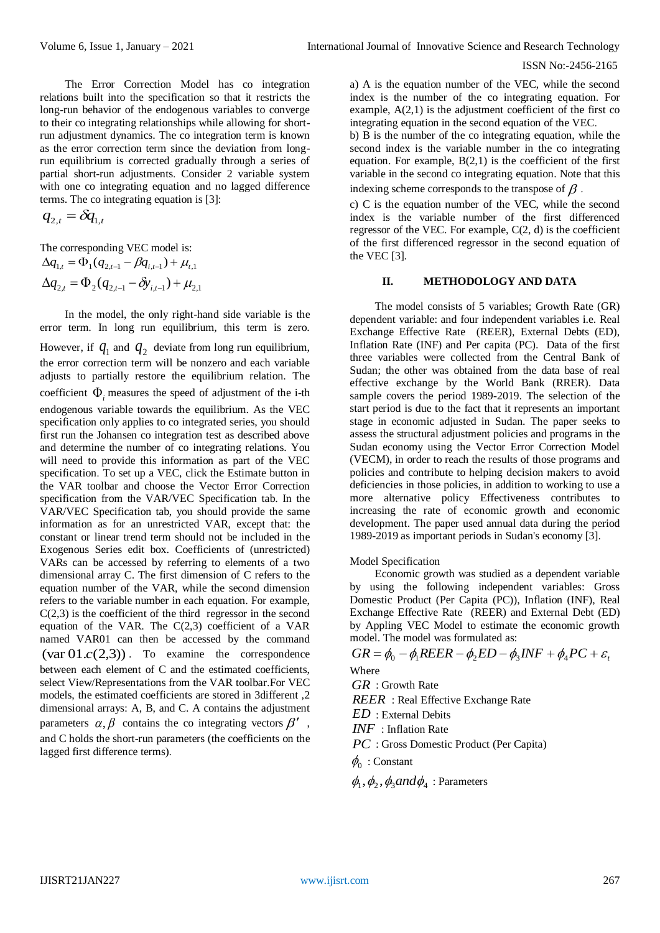The Error Correction Model has co integration relations built into the specification so that it restricts the long-run behavior of the endogenous variables to converge to their co integrating relationships while allowing for shortrun adjustment dynamics. The co integration term is known as the error correction term since the deviation from longrun equilibrium is corrected gradually through a series of partial short-run adjustments. Consider 2 variable system with one co integrating equation and no lagged difference terms. The co integrating equation is [3]:

$$
q_{2,t} = \delta q_{1,t}
$$

The corresponding VEC model is:  $\Delta q_{1,t} = \Phi_1 (q_{2,t-1} - \beta q_{i,t-1}) + \mu_{t,1}$  $\Delta q_{2,t} = \Phi_2 (q_{2,t-1} - \delta y_{i,t-1}) + \mu_{2,1}$ 

In the model, the only right-hand side variable is the error term. In long run equilibrium, this term is zero. However, if  $q_1$  and  $q_2$  deviate from long run equilibrium, the error correction term will be nonzero and each variable adjusts to partially restore the equilibrium relation. The coefficient  $\Phi$ <sub>i</sub> measures the speed of adjustment of the i-th endogenous variable towards the equilibrium. As the VEC specification only applies to co integrated series, you should first run the Johansen co integration test as described above and determine the number of co integrating relations. You will need to provide this information as part of the VEC specification. To set up a VEC, click the Estimate button in the VAR toolbar and choose the Vector Error Correction specification from the VAR/VEC Specification tab. In the VAR/VEC Specification tab, you should provide the same information as for an unrestricted VAR, except that: the constant or linear trend term should not be included in the Exogenous Series edit box. Coefficients of (unrestricted) VARs can be accessed by referring to elements of a two dimensional array C. The first dimension of C refers to the equation number of the VAR, while the second dimension refers to the variable number in each equation. For example,  $C(2,3)$  is the coefficient of the third regressor in the second equation of the VAR. The  $C(2,3)$  coefficient of a VAR named VAR01 can then be accessed by the command  $\left(\text{var } 01.c(2,3)\right)$ . To examine the correspondence between each element of C and the estimated coefficients, select View/Representations from the VAR toolbar.For VEC models, the estimated coefficients are stored in 3different ,2 dimensional arrays: A, B, and C. A contains the adjustment parameters  $\alpha, \beta$  contains the co integrating vectors  $\beta'$ , and C holds the short-run parameters (the coefficients on the lagged first difference terms).

a) A is the equation number of the VEC, while the second index is the number of the co integrating equation. For example,  $A(2,1)$  is the adjustment coefficient of the first co integrating equation in the second equation of the VEC.

b) B is the number of the co integrating equation, while the second index is the variable number in the co integrating equation. For example,  $B(2,1)$  is the coefficient of the first variable in the second co integrating equation. Note that this indexing scheme corresponds to the transpose of  $\beta$  .

c) C is the equation number of the VEC, while the second index is the variable number of the first differenced regressor of the VEC. For example,  $C(2, d)$  is the coefficient of the first differenced regressor in the second equation of the VEC [3].

#### **II. METHODOLOGY AND DATA**

The model consists of 5 variables; Growth Rate (GR) dependent variable: and four independent variables i.e. Real Exchange Effective Rate (REER), External Debts (ED), Inflation Rate (INF) and Per capita (PC). Data of the first three variables were collected from the Central Bank of Sudan; the other was obtained from the data base of real effective exchange by the World Bank (RRER). Data sample covers the period 1989-2019. The selection of the start period is due to the fact that it represents an important stage in economic adjusted in Sudan. The paper seeks to assess the structural adjustment policies and programs in the Sudan economy using the Vector Error Correction Model (VECM), in order to reach the results of those programs and policies and contribute to helping decision makers to avoid deficiencies in those policies, in addition to working to use a more alternative policy Effectiveness contributes to increasing the rate of economic growth and economic development. The paper used annual data during the period 1989-2019 as important periods in Sudan's economy [3].

#### Model Specification

Economic growth was studied as a dependent variable by using the following independent variables: Gross Domestic Product (Per Capita (PC)), Inflation (INF), Real Exchange Effective Rate (REER) and External Debt (ED) by Appling VEC Model to estimate the economic growth model. The model was formulated as:

$$
GR = \phi_0 - \phi_1 REER - \phi_2 ED - \phi_3 INF + \phi_4 PC + \varepsilon_t
$$
  
Where

*GR* : Growth Rate *REER* : Real Effective Exchange Rate *ED* : External Debits *INF* : Inflation Rate *PC* : Gross Domestic Product (Per Capita)  $\phi_0$ : Constant

 $\phi_1$ ,  $\phi_2$ ,  $\phi_3$ *and* $\phi_4$ : Parameters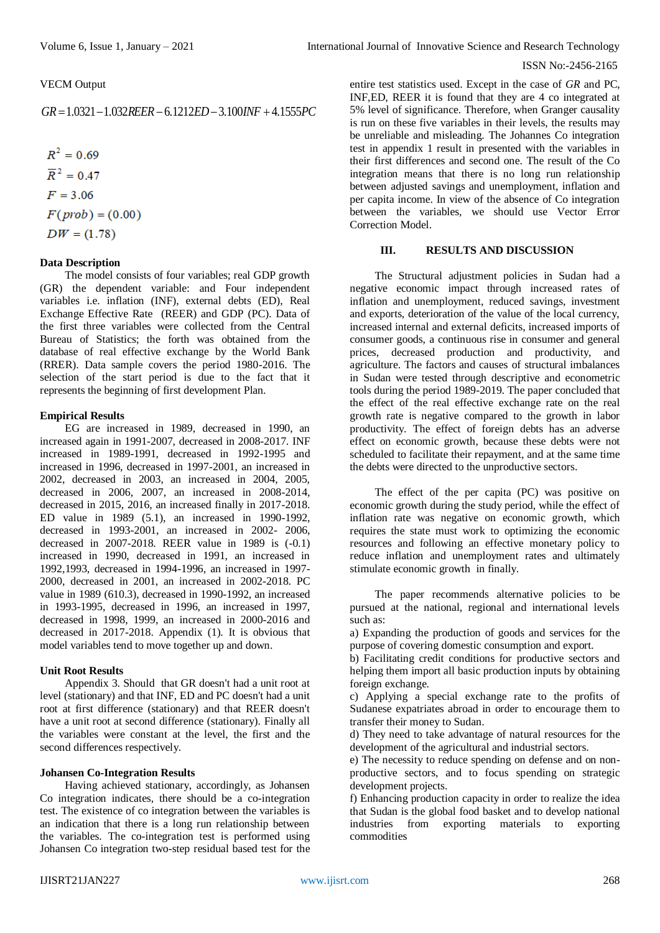#### VECM Output

$$
GR = 1.0321 - 1.032REER - 6.1212ED - 3.100INF + 4.1555PC
$$

 $R^2 = 0.69$  $\overline{R}^2 = 0.47$  $F = 3.06$  $F(\text{prob}) = (0.00)$  $DW = (1.78)$ 

#### **Data Description**

The model consists of four variables; real GDP growth (GR) the dependent variable: and Four independent variables i.e. inflation (INF), external debts (ED), Real Exchange Effective Rate (REER) and GDP (PC). Data of the first three variables were collected from the Central Bureau of Statistics; the forth was obtained from the database of real effective exchange by the World Bank (RRER). Data sample covers the period 1980-2016. The selection of the start period is due to the fact that it represents the beginning of first development Plan.

#### **Empirical Results**

EG are increased in 1989, decreased in 1990, an increased again in 1991-2007, decreased in 2008-2017. INF increased in 1989-1991, decreased in 1992-1995 and increased in 1996, decreased in 1997-2001, an increased in 2002, decreased in 2003, an increased in 2004, 2005, decreased in 2006, 2007, an increased in 2008-2014, decreased in 2015, 2016, an increased finally in 2017-2018. ED value in 1989 (5.1), an increased in 1990-1992, decreased in 1993-2001, an increased in 2002- 2006, decreased in 2007-2018. REER value in 1989 is (-0.1) increased in 1990, decreased in 1991, an increased in 1992,1993, decreased in 1994-1996, an increased in 1997- 2000, decreased in 2001, an increased in 2002-2018. PC value in 1989 (610.3), decreased in 1990-1992, an increased in 1993-1995, decreased in 1996, an increased in 1997, decreased in 1998, 1999, an increased in 2000-2016 and decreased in 2017-2018. Appendix (1). It is obvious that model variables tend to move together up and down.

#### **Unit Root Results**

Appendix 3. Should that GR doesn't had a unit root at level (stationary) and that INF, ED and PC doesn't had a unit root at first difference (stationary) and that REER doesn't have a unit root at second difference (stationary). Finally all the variables were constant at the level, the first and the second differences respectively.

#### **Johansen Co-Integration Results**

Having achieved stationary, accordingly, as Johansen Co integration indicates, there should be a co-integration test. The existence of co integration between the variables is an indication that there is a long run relationship between the variables. The co-integration test is performed using Johansen Co integration two-step residual based test for the entire test statistics used. Except in the case of *GR* and PC, INF,ED, REER it is found that they are 4 co integrated at 5% level of significance. Therefore, when Granger causality is run on these five variables in their levels, the results may be unreliable and misleading. The Johannes Co integration test in appendix 1 result in presented with the variables in their first differences and second one. The result of the Co integration means that there is no long run relationship between adjusted savings and unemployment, inflation and per capita income. In view of the absence of Co integration between the variables, we should use Vector Error Correction Model.

#### **III. RESULTS AND DISCUSSION**

The Structural adjustment policies in Sudan had a negative economic impact through increased rates of inflation and unemployment, reduced savings, investment and exports, deterioration of the value of the local currency, increased internal and external deficits, increased imports of consumer goods, a continuous rise in consumer and general prices, decreased production and productivity, and agriculture. The factors and causes of structural imbalances in Sudan were tested through descriptive and econometric tools during the period 1989-2019. The paper concluded that the effect of the real effective exchange rate on the real growth rate is negative compared to the growth in labor productivity. The effect of foreign debts has an adverse effect on economic growth, because these debts were not scheduled to facilitate their repayment, and at the same time the debts were directed to the unproductive sectors.

The effect of the per capita (PC) was positive on economic growth during the study period, while the effect of inflation rate was negative on economic growth, which requires the state must work to optimizing the economic resources and following an effective monetary policy to reduce inflation and unemployment rates and ultimately stimulate economic growth in finally.

The paper recommends alternative policies to be pursued at the national, regional and international levels such as:

a) Expanding the production of goods and services for the purpose of covering domestic consumption and export.

b) Facilitating credit conditions for productive sectors and helping them import all basic production inputs by obtaining foreign exchange.

c) Applying a special exchange rate to the profits of Sudanese expatriates abroad in order to encourage them to transfer their money to Sudan.

d) They need to take advantage of natural resources for the development of the agricultural and industrial sectors.

e) The necessity to reduce spending on defense and on nonproductive sectors, and to focus spending on strategic development projects.

f) Enhancing production capacity in order to realize the idea that Sudan is the global food basket and to develop national industries from exporting materials to exporting commodities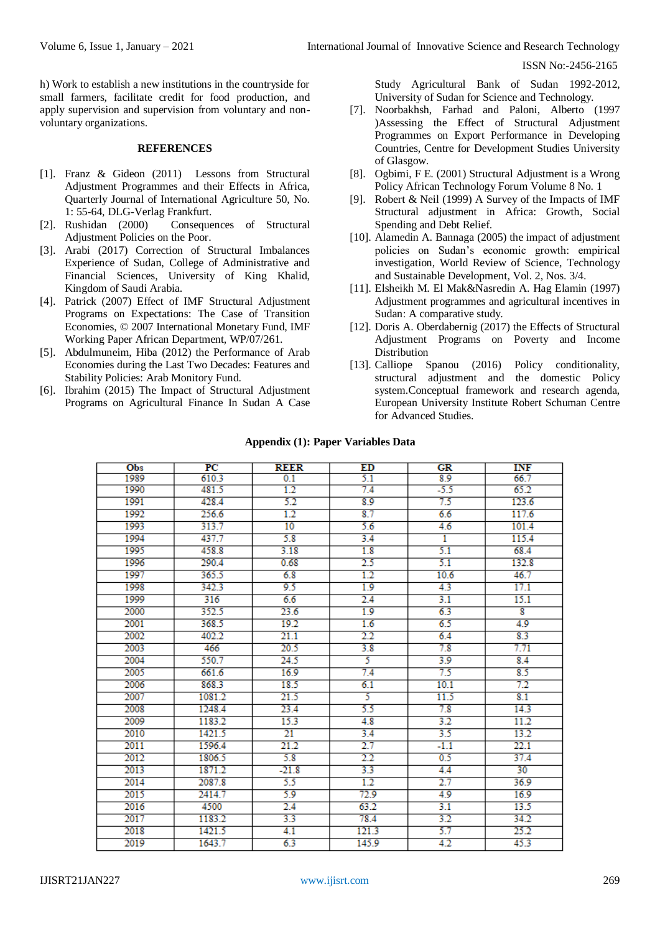h) Work to establish a new institutions in the countryside for small farmers, facilitate credit for food production, and apply supervision and supervision from voluntary and nonvoluntary organizations.

#### **REFERENCES**

- [1]. Franz & Gideon (2011) Lessons from Structural Adjustment Programmes and their Effects in Africa, Quarterly Journal of International Agriculture 50, No. 1: 55-64, DLG-Verlag Frankfurt.
- [2]. Rushidan (2000) Consequences of Structural Adjustment Policies on the Poor.
- [3]. Arabi (2017) Correction of Structural Imbalances Experience of Sudan, College of Administrative and Financial Sciences, University of King Khalid, Kingdom of Saudi Arabia.
- [4]. Patrick (2007) Effect of IMF Structural Adjustment Programs on Expectations: The Case of Transition Economies, © 2007 International Monetary Fund, IMF Working Paper African Department, WP/07/261.
- [5]. Abdulmuneim, Hiba (2012) the Performance of Arab Economies during the Last Two Decades: Features and Stability Policies: Arab Monitory Fund.
- [6]. Ibrahim (2015) The Impact of Structural Adjustment Programs on Agricultural Finance In Sudan A Case

Study Agricultural Bank of Sudan 1992-2012, University of Sudan for Science and Technology.

- [7]. Noorbakhsh, Farhad and Paloni, Alberto (1997 )Assessing the Effect of Structural Adjustment Programmes on Export Performance in Developing Countries, Centre for Development Studies University of Glasgow.
- [8]. Ogbimi, F E. (2001) Structural Adjustment is a Wrong Policy African Technology Forum Volume 8 No. 1
- [9]. Robert & Neil (1999) A Survey of the Impacts of IMF Structural adjustment in Africa: Growth, Social Spending and Debt Relief.
- [10]. Alamedin A. Bannaga (2005) the impact of adjustment policies on Sudan's economic growth: empirical investigation, World Review of Science, Technology and Sustainable Development, Vol. 2, Nos. 3/4.
- [11]. Elsheikh M. El Mak&Nasredin A. Hag Elamin (1997) Adjustment programmes and agricultural incentives in Sudan: A comparative study.
- [12]. Doris A. Oberdabernig (2017) the Effects of Structural Adjustment Programs on Poverty and Income Distribution
- [13]. Calliope Spanou (2016) Policy conditionality, structural adjustment and the domestic Policy system.Conceptual framework and research agenda, European University Institute Robert Schuman Centre for Advanced Studies.

| <b>Obs</b> | $_{PC}$ | <b>REER</b>     | ED            | GR     | <b>INF</b>              |
|------------|---------|-----------------|---------------|--------|-------------------------|
| 1989       | 610.3   | 0.1             | 5.1           | 8.9    | 66.7                    |
| 1990       | 481.5   | 1.2             | 7.4           | $-5.5$ | 65.2                    |
| 1991       | 428.4   | 5.2             | 8.9           | 7.5    | 123.6                   |
| 1992       | 256.6   | 1.2             | 8.7           | 6.6    | 117.6                   |
| 1993       | 313.7   | 10              | 5.6           | 4.6    | 101.4                   |
| 1994       | 437.7   | 5.8             | 3.4           | 1      | 115.4                   |
| 1995       | 458.8   | 3.18            | 1.8           | 5.1    | 68.4                    |
| 1996       | 290.4   | 0.68            | $2.5\,$       | 5.1    | 132.8                   |
| 1997       | 365.5   | 6.8             | 1.2           | 10.6   | 46.7                    |
| 1998       | 342.3   | 9.5             | 1.9           | 4.3    | 17.1                    |
| 1999       | 316     | 6.6             | 2.4           | 3.1    | 15.1                    |
| 2000       | 352.5   | 23.6            | 1.9           | 6.3    | $\overline{\mathbf{8}}$ |
| 2001       | 368.5   | 19.2            | 1.6           | 6.5    | 4.9                     |
| 2002       | 402.2   | 21.1            | $2.2\,$       | 6.4    | 8.3                     |
| 2003       | 466     | 20.5            | 3.8           | 7.8    | 7.71                    |
| 2004       | 550.7   | 24.5            | 5             | 3.9    | 8.4                     |
| 2005       | 661.6   | 16.9            | 7.4           | 7.5    | 8.5                     |
| 2006       | 868.3   | 18.5            | 6.1           | 10.1   | 7.2                     |
| 2007       | 1081.2  | 21.5            | 5             | 11.5   | 8.1                     |
| 2008       | 1248.4  | 23.4            | 5.5           | 7.8    | 14.3                    |
| 2009       | 1183.2  | 15.3            | 4.8           | 3.2    | 11.2                    |
| 2010       | 1421.5  | $\overline{21}$ | 3.4           | 3.5    | 13.2                    |
| 2011       | 1596.4  | 21.2            | 2.7           | $-1.1$ | 22.1                    |
| 2012       | 1806.5  | 5.8             | $2.2^{\circ}$ | 0.5    | 37.4                    |
| 2013       | 1871.2  | $-21.8$         | 3.3           | 4.4    | 30                      |
| 2014       | 2087.8  | 5.5             | 1.2           | 2.7    | 36.9                    |
| 2015       | 2414.7  | 5.9             | 72.9          | 4.9    | 16.9                    |
| 2016       | 4500    | 2.4             | 63.2          | 3.1    | 13.5                    |
| 2017       | 1183.2  | 3.3             | 78.4          | 3.2    | 34.2                    |
| 2018       | 1421.5  | 4.1             | 121.3         | 5.7    | 25.2                    |
| 2019       | 1643.7  | 6.3             | 145.9         | 4.2    | 45.3                    |

#### **Appendix (1): Paper Variables Data**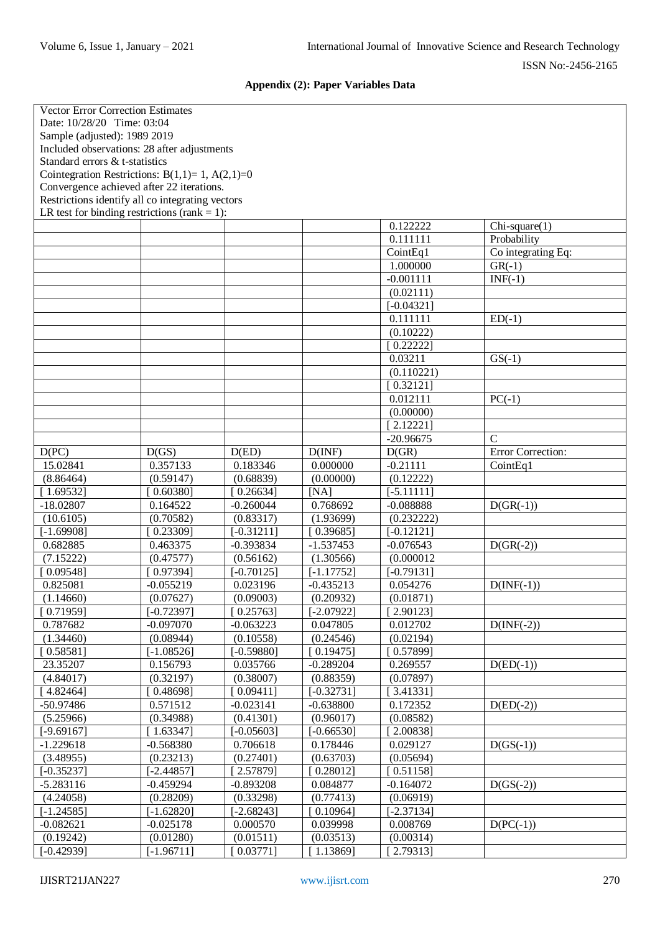# **Appendix (2): Paper Variables Data**

| <b>Vector Error Correction Estimates</b>            |              |              |              |                       |                    |  |
|-----------------------------------------------------|--------------|--------------|--------------|-----------------------|--------------------|--|
| Date: 10/28/20 Time: 03:04                          |              |              |              |                       |                    |  |
| Sample (adjusted): 1989 2019                        |              |              |              |                       |                    |  |
| Included observations: 28 after adjustments         |              |              |              |                       |                    |  |
| Standard errors & t-statistics                      |              |              |              |                       |                    |  |
| Cointegration Restrictions: $B(1,1)=1$ , $A(2,1)=0$ |              |              |              |                       |                    |  |
| Convergence achieved after 22 iterations.           |              |              |              |                       |                    |  |
| Restrictions identify all co integrating vectors    |              |              |              |                       |                    |  |
| LR test for binding restrictions (rank = 1):        |              |              |              |                       |                    |  |
|                                                     |              |              |              | 0.122222              | $Chi-square(1)$    |  |
|                                                     |              |              |              | 0.111111              | Probability        |  |
|                                                     |              |              |              | CointEq1              | Co integrating Eq: |  |
|                                                     |              |              |              | 1.000000              | $GR(-1)$           |  |
|                                                     |              |              |              | $-0.001111$           | $INF(-1)$          |  |
|                                                     |              |              |              | (0.02111)             |                    |  |
|                                                     |              |              |              | $[-0.04321]$          |                    |  |
|                                                     |              |              |              | 0.111111              | $ED(-1)$           |  |
|                                                     |              |              |              | (0.10222)             |                    |  |
|                                                     |              |              |              | 0.222221              |                    |  |
|                                                     |              |              |              | $\overline{0.03211}$  | $GS(-1)$           |  |
|                                                     |              |              |              | (0.110221)            |                    |  |
|                                                     |              |              |              | [0.32121]             |                    |  |
|                                                     |              |              |              | 0.012111              | $PC(-1)$           |  |
|                                                     |              |              |              |                       |                    |  |
|                                                     |              |              |              | (0.00000)<br>2.122211 |                    |  |
|                                                     |              |              |              |                       |                    |  |
|                                                     |              |              |              | $-20.96675$           | $\mathcal{C}$      |  |
| D(PC)                                               | D(GS)        | D(ED)        | D(INF)       | D(GR)                 | Error Correction:  |  |
| 15.02841                                            | 0.357133     | 0.183346     | 0.000000     | $-0.21111$            | CointEq1           |  |
| (8.86464)                                           | (0.59147)    | (0.68839)    | (0.00000)    | (0.12222)             |                    |  |
| [1.69532]                                           | $0.60380$ ]  | 0.26634]     | [NA]         | $[-5.11111]$          |                    |  |
| $-18.02807$                                         | 0.164522     | $-0.260044$  | 0.768692     | $-0.088888$           | $D(GR(-1))$        |  |
| (10.6105)                                           | (0.70582)    | (0.83317)    | (1.93699)    | (0.232222)            |                    |  |
| $[-1.69908]$                                        | 0.23309]     | $[-0.31211]$ | [0.39685]    | $[-0.12121]$          |                    |  |
| 0.682885                                            | 0.463375     | $-0.393834$  | $-1.537453$  | $-0.076543$           | $D(GR(-2))$        |  |
| (7.15222)                                           | (0.47577)    | (0.56162)    | (1.30566)    | (0.000012)            |                    |  |
| [0.09548]                                           | 0.973941     | $[-0.70125]$ | $[-1.17752]$ | $[-0.79131]$          |                    |  |
| 0.825081                                            | $-0.055219$  | 0.023196     | $-0.435213$  | 0.054276              | $D(INF(-1))$       |  |
| (1.14660)                                           | (0.07627)    | (0.09003)    | (0.20932)    | (0.01871)             |                    |  |
| [0.71959]                                           | $[-0.72397]$ | [0.25763]    | $[-2.07922]$ | [2.90123]             |                    |  |
| 0.787682                                            | $-0.097070$  | $-0.063223$  | 0.047805     | 0.012702              | $D(INF(-2))$       |  |
| (1.34460)                                           | (0.08944)    | (0.10558)    | (0.24546)    | (0.02194)             |                    |  |
| [0.58581]                                           | $[-1.08526]$ | $[-0.59880]$ | [0.19475]    | [0.57899]             |                    |  |
| 23.35207                                            | 0.156793     | 0.035766     | $-0.289204$  | 0.269557              | $D(ED(-1))$        |  |
| (4.84017)                                           | (0.32197)    | (0.38007)    | (0.88359)    | (0.07897)             |                    |  |
| [4.82464]                                           | [0.48698]    | [0.09411]    | $[-0.32731]$ | [ 3.41331]            |                    |  |
| $-50.97486$                                         | 0.571512     | $-0.023141$  | $-0.638800$  | 0.172352              | $D(ED(-2))$        |  |
| (5.25966)                                           | (0.34988)    | (0.41301)    | (0.96017)    | (0.08582)             |                    |  |
| $[-9.69167]$                                        | 1.63347      | $[-0.05603]$ | $[-0.66530]$ | 2.00838]              |                    |  |
| $-1.229618$                                         | $-0.568380$  | 0.706618     | 0.178446     | 0.029127              | $D(GS(-1))$        |  |
| (3.48955)                                           | (0.23213)    | (0.27401)    | (0.63703)    | (0.05694)             |                    |  |
| $[-0.35237]$                                        | [-2.44857]   | 2.57879]     | [0.28012]    | [0.51158]             |                    |  |
| $-5.283116$                                         | $-0.459294$  | $-0.893208$  | 0.084877     | $-0.164072$           | $D(GS(-2))$        |  |
| (4.24058)                                           | (0.28209)    | (0.33298)    | (0.77413)    | (0.06919)             |                    |  |
| $[-1.24585]$                                        | $[-1.62820]$ | $[-2.68243]$ | [0.10964]    | $[-2.37134]$          |                    |  |
| $-0.082621$                                         | $-0.025178$  | 0.000570     | 0.039998     | 0.008769              | $D(PC(-1))$        |  |
| (0.19242)                                           | (0.01280)    | (0.01511)    | (0.03513)    | (0.00314)             |                    |  |
| $[-0.42939]$                                        | $[-1.96711]$ | [0.03771]    | [1.13869]    | [2.79313]             |                    |  |
|                                                     |              |              |              |                       |                    |  |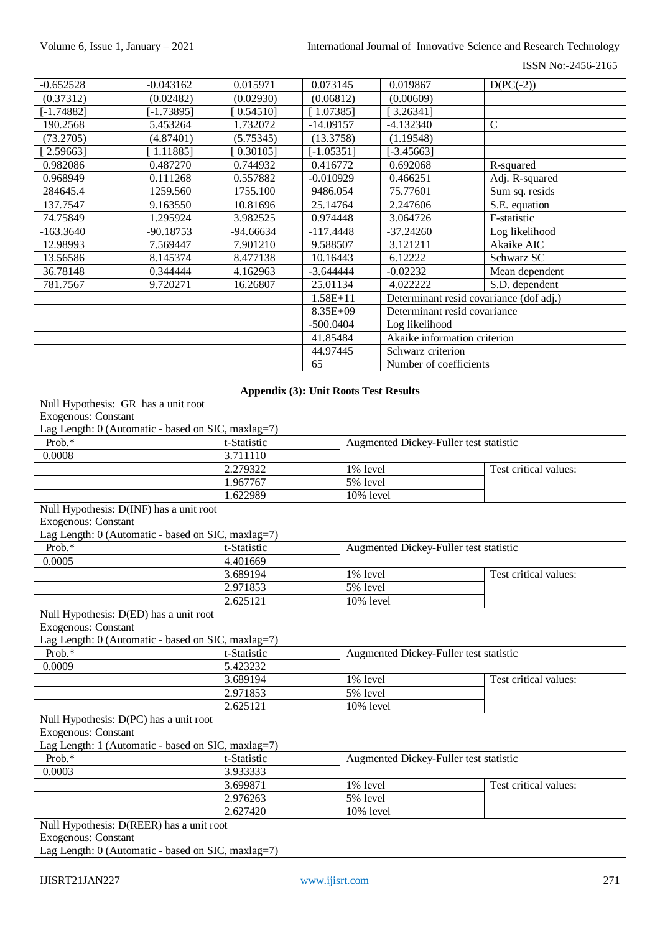| $-0.652528$  | $-0.043162$  | 0.015971    | 0.073145     | 0.019867                     | $D(PC(-2))$                             |  |
|--------------|--------------|-------------|--------------|------------------------------|-----------------------------------------|--|
| (0.37312)    | (0.02482)    | (0.02930)   | (0.06812)    | (0.00609)                    |                                         |  |
| $[-1.74882]$ | $[-1.73895]$ | 0.54510]    | [1.07385]    | 3.263411                     |                                         |  |
| 190.2568     | 5.453264     | 1.732072    | $-14.09157$  | $-4.132340$                  | $\mathbf C$                             |  |
| (73.2705)    | (4.87401)    | (5.75345)   | (13.3758)    | (1.19548)                    |                                         |  |
| 2.59663]     | 1.11885]     | $0.30105$ ] | $[-1.05351]$ | $[-3.45663]$                 |                                         |  |
| 0.982086     | 0.487270     | 0.744932    | 0.416772     | 0.692068                     | R-squared                               |  |
| 0.968949     | 0.111268     | 0.557882    | $-0.010929$  | 0.466251                     | Adj. R-squared                          |  |
| 284645.4     | 1259.560     | 1755.100    | 9486.054     | 75.77601                     | Sum sq. resids                          |  |
| 137.7547     | 9.163550     | 10.81696    | 25.14764     | 2.247606                     | S.E. equation                           |  |
| 74.75849     | 1.295924     | 3.982525    | 0.974448     | 3.064726                     | F-statistic                             |  |
| $-163.3640$  | $-90.18753$  | $-94.66634$ | $-117.4448$  | $-37.24260$                  | Log likelihood                          |  |
| 12.98993     | 7.569447     | 7.901210    | 9.588507     | 3.121211                     | Akaike AIC                              |  |
| 13.56586     | 8.145374     | 8.477138    | 10.16443     | 6.12222                      | Schwarz SC                              |  |
| 36.78148     | 0.344444     | 4.162963    | $-3.644444$  | $-0.02232$                   | Mean dependent                          |  |
| 781.7567     | 9.720271     | 16.26807    | 25.01134     | 4.022222                     | S.D. dependent                          |  |
|              |              |             | $1.58E + 11$ |                              | Determinant resid covariance (dof adj.) |  |
|              |              |             | $8.35E + 09$ | Determinant resid covariance |                                         |  |
|              |              |             | $-500.0404$  | Log likelihood               |                                         |  |
|              |              |             | 41.85484     |                              | Akaike information criterion            |  |
|              |              |             | 44.97445     | Schwarz criterion            |                                         |  |
|              |              |             | 65           | Number of coefficients       |                                         |  |

### **Appendix (3): Unit Roots Test Results**

| Null Hypothesis: GR has a unit root                  |             |                                        |                       |  |  |  |
|------------------------------------------------------|-------------|----------------------------------------|-----------------------|--|--|--|
| <b>Exogenous: Constant</b>                           |             |                                        |                       |  |  |  |
| Lag Length: 0 (Automatic - based on SIC, maxlag=7)   |             |                                        |                       |  |  |  |
| Prob.*                                               | t-Statistic | Augmented Dickey-Fuller test statistic |                       |  |  |  |
| 0.0008                                               | 3.711110    |                                        |                       |  |  |  |
|                                                      | 2.279322    | 1% level<br>Test critical values:      |                       |  |  |  |
|                                                      | 1.967767    | 5% level                               |                       |  |  |  |
|                                                      | 1.622989    | 10% level                              |                       |  |  |  |
| Null Hypothesis: D(INF) has a unit root              |             |                                        |                       |  |  |  |
| <b>Exogenous: Constant</b>                           |             |                                        |                       |  |  |  |
| Lag Length: 0 (Automatic - based on SIC, maxlag=7)   |             |                                        |                       |  |  |  |
| Prob.*                                               | t-Statistic | Augmented Dickey-Fuller test statistic |                       |  |  |  |
| 0.0005                                               | 4.401669    |                                        |                       |  |  |  |
|                                                      | 3.689194    | 1% level                               | Test critical values: |  |  |  |
|                                                      | 2.971853    | 5% level                               |                       |  |  |  |
|                                                      | 2.625121    | 10% level                              |                       |  |  |  |
| Null Hypothesis: D(ED) has a unit root               |             |                                        |                       |  |  |  |
| <b>Exogenous: Constant</b>                           |             |                                        |                       |  |  |  |
| Lag Length: 0 (Automatic - based on SIC, maxlag=7)   |             |                                        |                       |  |  |  |
| $Prob.*$                                             | t-Statistic | Augmented Dickey-Fuller test statistic |                       |  |  |  |
| 0.0009                                               | 5.423232    |                                        |                       |  |  |  |
|                                                      | 3.689194    | 1% level                               | Test critical values: |  |  |  |
|                                                      | 2.971853    | 5% level                               |                       |  |  |  |
|                                                      | 2.625121    | 10% level                              |                       |  |  |  |
| Null Hypothesis: D(PC) has a unit root               |             |                                        |                       |  |  |  |
| <b>Exogenous: Constant</b>                           |             |                                        |                       |  |  |  |
| Lag Length: 1 (Automatic - based on SIC, maxlag=7)   |             |                                        |                       |  |  |  |
| Prob.*                                               | t-Statistic | Augmented Dickey-Fuller test statistic |                       |  |  |  |
| 0.0003                                               | 3.933333    |                                        |                       |  |  |  |
|                                                      | 3.699871    | 1% level                               | Test critical values: |  |  |  |
|                                                      | 2.976263    | 5% level                               |                       |  |  |  |
|                                                      | 2.627420    | 10% level                              |                       |  |  |  |
| Null Hypothesis: D(REER) has a unit root             |             |                                        |                       |  |  |  |
| Exogenous: Constant                                  |             |                                        |                       |  |  |  |
| Lag Length: $0$ (Automatic - based on SIC, maxlag=7) |             |                                        |                       |  |  |  |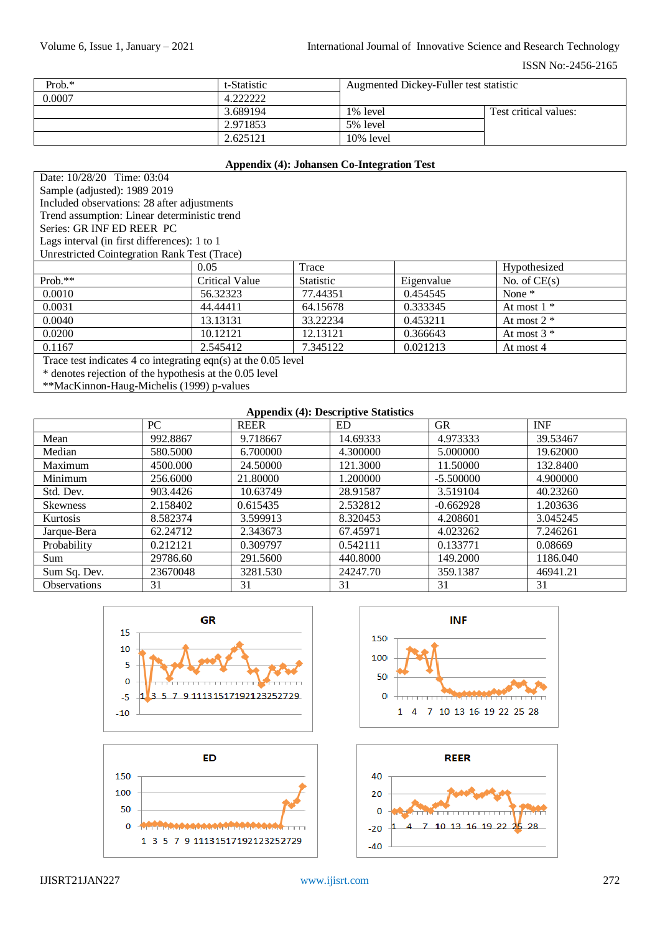| Prob. $*$ | t-Statistic      | Augmented Dickey-Fuller test statistic |                       |  |
|-----------|------------------|----------------------------------------|-----------------------|--|
| 0.0007    | $\Lambda$ 222222 |                                        |                       |  |
|           | 3.689194         | 1% level                               | Test critical values: |  |
|           | 2.971853         | 5% level                               |                       |  |
|           | 2.625121         | 10% level                              |                       |  |

## **Appendix (4): Johansen Co-Integration Test**

| Date: 10/28/20 Time: 03:04                                       |                |                  |            |                |  |  |  |
|------------------------------------------------------------------|----------------|------------------|------------|----------------|--|--|--|
| Sample (adjusted): 1989 2019                                     |                |                  |            |                |  |  |  |
| Included observations: 28 after adjustments                      |                |                  |            |                |  |  |  |
| Trend assumption: Linear deterministic trend                     |                |                  |            |                |  |  |  |
| Series: GR INF ED REER PC                                        |                |                  |            |                |  |  |  |
| Lags interval (in first differences): 1 to 1                     |                |                  |            |                |  |  |  |
| <b>Unrestricted Cointegration Rank Test (Trace)</b>              |                |                  |            |                |  |  |  |
|                                                                  | 0.05           | Trace            |            | Hypothesized   |  |  |  |
| $Prob.**$                                                        | Critical Value | <b>Statistic</b> | Eigenvalue | No. of $CE(s)$ |  |  |  |
| 0.0010                                                           | 56.32323       | 77.44351         | 0.454545   | None $*$       |  |  |  |
| 0.0031                                                           | 44.44411       | 64.15678         | 0.333345   | At most $1 *$  |  |  |  |
| 0.0040<br>13.13131<br>33.22234<br>0.453211<br>At most $2 *$      |                |                  |            |                |  |  |  |
| 0.0200<br>10.12121<br>12.13121<br>At most $3 *$<br>0.366643      |                |                  |            |                |  |  |  |
| 0.021213<br>0.1167<br>2.545412<br>7.345122<br>At most 4          |                |                  |            |                |  |  |  |
| Trace test indicates 4 co integrating eqn(s) at the $0.05$ level |                |                  |            |                |  |  |  |
| * denotes rejection of the hypothesis at the 0.05 level          |                |                  |            |                |  |  |  |

\*\*MacKinnon-Haug-Michelis (1999) p-values

#### **Appendix (4): Descriptive Statistics**

|                     | PC       | . .<br>$\sim$ $\sim$<br><b>REER</b> | ED       | <b>GR</b>   | <b>INF</b> |
|---------------------|----------|-------------------------------------|----------|-------------|------------|
| Mean                | 992.8867 | 9.718667                            | 14.69333 | 4.973333    | 39.53467   |
| Median              | 580.5000 | 6.700000                            | 4.300000 | 5.000000    | 19.62000   |
| Maximum             | 4500.000 | 24.50000                            | 121.3000 | 11.50000    | 132.8400   |
| Minimum             | 256.6000 | 21.80000                            | 1.200000 | $-5.500000$ | 4.900000   |
| Std. Dev.           | 903.4426 | 10.63749                            | 28.91587 | 3.519104    | 40.23260   |
| <b>Skewness</b>     | 2.158402 | 0.615435                            | 2.532812 | $-0.662928$ | 1.203636   |
| Kurtosis            | 8.582374 | 3.599913                            | 8.320453 | 4.208601    | 3.045245   |
| Jarque-Bera         | 62.24712 | 2.343673                            | 67.45971 | 4.023262    | 7.246261   |
| Probability         | 0.212121 | 0.309797                            | 0.542111 | 0.133771    | 0.08669    |
| <b>Sum</b>          | 29786.60 | 291.5600                            | 440.8000 | 149.2000    | 1186.040   |
| Sum Sq. Dev.        | 23670048 | 3281.530                            | 24247.70 | 359.1387    | 46941.21   |
| <b>Observations</b> | 31       | 31                                  | 31       | 31          | 31         |